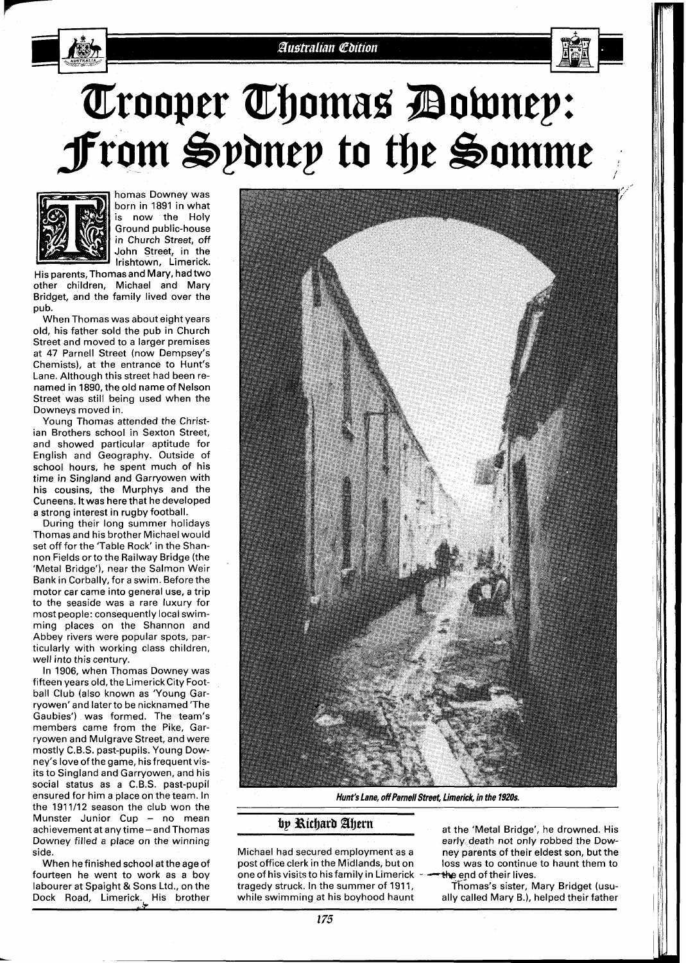

# Trooper Thomas Downey: From Sydney to the Somme



homas Downey was born in 1891 in what is now the Holy Ground public-house in Church Street, off John Street, in the Irishtown, Limerick.

His parents,Thomasand Mary, had two other children, Michael and Mary Bridget, and the family lived over the pub.

When Thomas was about eight years old, his father sold the pub in Church Street and moved to a larger premises at 47 Parnell Street (now Dempsey's Chemists), at the entrance to Hunt's Lane. Although this street had been renamed in 1890, the old name of Nelson Street was still being used when the Downeys moved in.

Young Thomas attended the Christian Brothers school in Sexton Street, and showed particular aptitude for English and Geography. Outside of school hours, he spent much of his time in Singland and Garryowen with his cousins, the Murphys and the Cuneens. It was here that he developed a strong interest in rugby football.

During their long summer holidays Thomas and his brother Michael would set off for the 'Table Rock' in the Shannon Fields or to the Railway Bridge (the 'Metal Bridge'), near the Salmon Weir Bank in Corbally,for a swim. Beforethe motor car came into general use, a trip to the seaside was a rare luxury for most people: consequently local swimming places on the Shannon and Abbey rivers were popular spots, particularly with working class children, well into this century.

In 1906, when Thomas Downey was fifteen years old, the Limerick City Football Club (also known as 'Young Garryowen' and later to be nicknamed 'The Gaubies') was formed. The team's members came from the Pike, Garryowen and Mulgrave Street, and were mostly C.B.S. past-pupils. Young Downey's love of the game, his frequent visits to Singland and Garryowen, and his social status as a C.B.S. past-pupil ensured for him a place on the team. In the 1911/12 season the club won the Munster Junior Cup - no mean achievement at any time-and Thomas Downey filled a place on the winning side.

When he finished school at the age of fourteen he went to work as a boy labourer at Spaight & Sons Ltd., on the Dock Road, Limerick. His brother



**Hunt's Lane, off ParnellStreet, Limerick, in the 1920s.** 

post office clerk in the Midlands, but on loss was to continue to haunt them to one of his visits to his family in Limerick  $\sim$   $\rightarrow$  the end of their lives. tragedy struck. In the summer of 1911, Thomas's sister, Mary Bridget (usu-<br>while swimming at his boyhood haunt ally called Mary B.), helped their father

**by Richard Aherm** at the 'Metal Bridge', he drowned. His early death not only robbed the Dow-Michael had secured employment as a ney parents of their eldest son, but the

ally called Mary B.), helped their father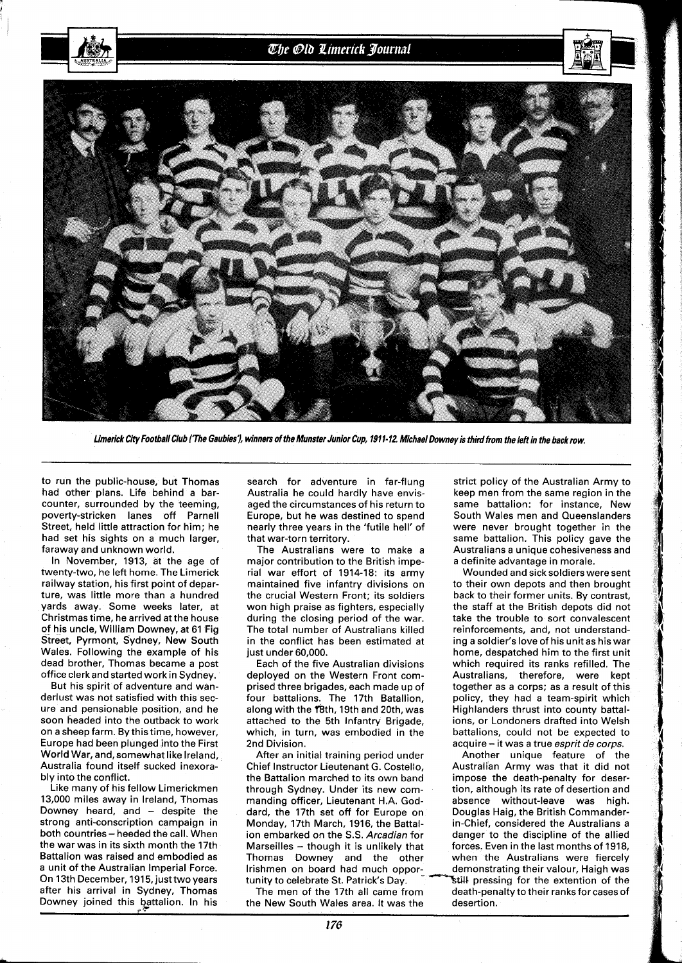#### The Old Limerick Journal



Limerick City Football Club ('The Gaubies'), winners of the Munster Junior Cup, 1911-12. Michael Downey is third from the left in the back row.

to run the public-house, but Thomas had other plans. Life behind a barcounter, surrounded by the teeming, poverty-stricken lanes off Parnell Street, held little attraction for him; he had set his sights on a much larger, faraway and unknown world.

In November, 1913, at the age of twenty-two, he left home. The Limerick railway station, his first point of departure, was little more than a hundred yards away. Some weeks later, at Christmas time, he arrived at the house of his uncle, William Downey, at 61 Fig Street, Pyrmont, Sydney, New South Wales. Following the example of his dead brother, Thomas became a post office clerk and started work in Sydney.

But his spirit of adventure and wanderlust was not satisfied with this secure and pensionable position, and he soon headed into the outback to work on a sheep farm. By this time, however, Europe had been plunged into the First World War, and, somewhat like Ireland, Australia found itself sucked inexorably into the conflict.

Like many of his fellow Limerickmen 13,000 miles away in Ireland, Thomas Downey heard, and - despite the strong anti-conscription campaign in both countries - heeded the call. When the war was in its sixth month the 17th Battalion was raised and embodied as a unit of the Australian Imperial Force. On 13th December, 1915, justtwo years after his arrival in Sydney, Thomas Downey joined this battalion. In his

search for adventure in far-flung Australia he could hardly have envisaged the circumstances of his return to Europe, but he was destined to spend nearly three years in the 'futile hell' of that war-torn territory.

The Australians were to make a major contribution to the British imperial war effort of 1914-18: its army maintained five infantry divisions on the crucial Western Front; its soldiers won high praise as fighters, especially during the closing period of the war. The total number of Australians killed in the conflict has been estimated at just under 60,000.

Each of the five Australian divisions deployed on the Western Front comprised three brigades, each made up of four battalions. The 17th Batallion, along with the 18th, 19th and 20th, was attached to the 5th Infantry Brigade, which, in turn, was embodied in the 2nd Division.

After an initial training period under Chief Instructor Lieutenant G. Costello, the Battalion marched to its own band through Sydney. Under its new commanding officer, Lieutenant H.A. Goddard, the 17th set off for Europe on Monday, 17th March, 1916, the Battalion embarked on the S.S. Arcadian for Marseilles  $-$  though it is unlikely that Thomas Downey and the other Irishmen on board had much oppor- tunity to celebrate St. Patrick's Day.<br>The men of the 17th all came from

the New South Wales area. It was the

strict policy of the Australian Army to keep men from the same region in the same battalion: for instance, New South Wales men and Queenslanders were never brought together in the same battalion. This policy gave the Australians a unique cohesiveness and a definite advantage in morale.

Wounded and sick soldiers were sent to their own depots and then brought back to their former units. By contrast, the staff at the British depots did not take the trouble to sort convalescent reinforcements, and, not understanding a soldier's love of his unit as his war home, despatched him to the first unit which required its ranks refilled. The Australians, therefore, were kept together as a corps; as a result of this policy, they had a team-spirit which Highlanders thrust into county battalions, or Londoners drafted into Welsh battalions, could not be expected to acquire - it was a true esprit de corps.

Another unique feature of the Australian Army was that it did not impose the death-penalty for desertion, although its rate of desertion and absence without-leave was high. Douglas Haig, the British Commanderin-Chief, considered the Australians a danger to the discipline of the allied forces. Even in the last months of 1918, when the Australians were fiercely demonstrating their valour, Haigh was still pressing for the extention of the death-penalty to their ranks for cases of<br>desertion.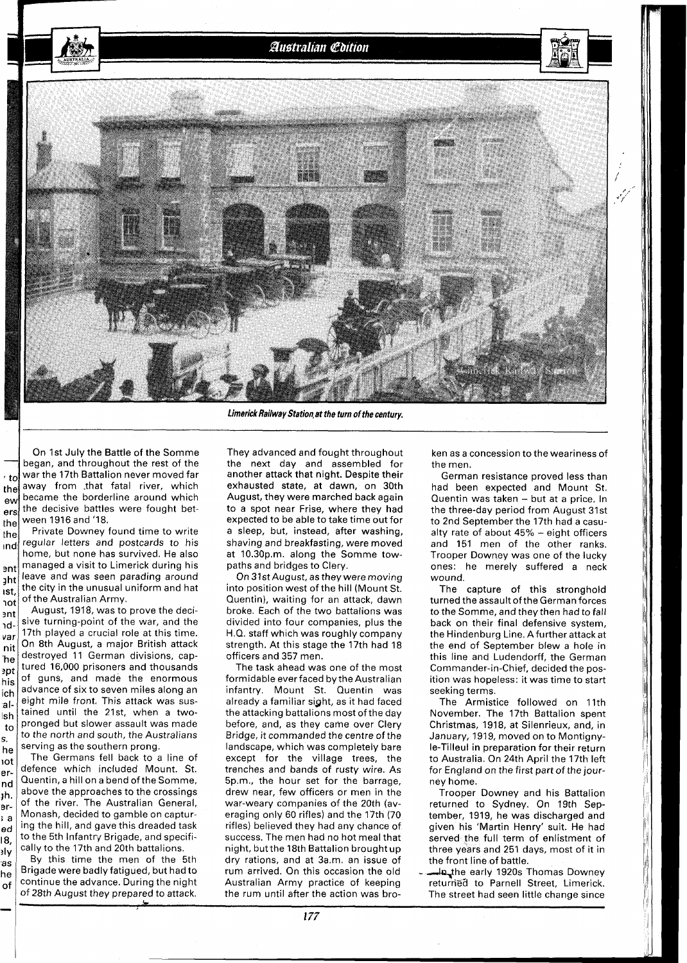Australian Edition



Limerick Railway Station, at the turn of the century.

**I** tl the ew er the On 1st July the Battle of the Somme began, and throughout the rest of the war the 17th Battalion never moved far away from that fatal river, which became the borderline around which the decisive battles were fought between 1916 and '18.

thc In( ent 3h 1st าot Private Downey found time to write regular letters and postcards to his home, but none has survived. He also managed a visit to Limerick during his leave and was seen parading around the city in the unusual uniform and hat of the Australian Army.

**3** n ነdvar 'he August, 1918, was to prove the decisive turning-point of the war, and the 17th played a crucial role at this time. On 8th August, a major British attack destroyed 11 German divisions, captured 16,000 prisoners and thousands of guns, and made the enormous advance of six to seven miles along an eight mile front. This attack was sustained until the 21st, when a twopronged but slower assault was made to the north and south, the Australians serving as the southern prong.

nil

?p1 his ich alsh to **S.**  he \ot ern d ih. er- ; a ed 18, ?ly as he of

The Germans fell back to a line of defence which included Mount. St. Quentin, a hill on a bend of the Somme, above the approaches to the crossings of the river. The Australian General, Monash, decided to gamble on capturing the hill, and gave this dreaded task to the 5th Infantry Brigade, and specifically to the 17th and 20th battalions.

 $\left| \begin{array}{c} \text{of} \\ \text{c} \\ \text{-} \end{array} \right|$ By this time the men of the 5th Brigade were badly fatigued, but had to continue the advance. During the night of 28th August they prepared to attack.

They advanced and fought throughout the next day and assembled for another attack that night. Despite their exhausted state, at dawn, on 30th August, they were marched back again to a spot near Frise, where they had expected to be able to take time out for a sleep, but, instead, after washing, shaving and breakfasting, were moved at 10.30p.m. along the Somme towpaths and bridges to Clery.

On 3lst August, as they were moving into position west of the hill (Mount St. Quentin), waiting for an attack, dawn broke. Each of the two battalions was divided into four companies, plus the H.Q. staff whlch was roughly company strength. At this stage the 17th had 18 officers and 357 men.

The task ahead was one of the most formidable ever faced by the Australian infantry. Mount St. Quentin was already a familiar sight, as it had faced the attacking battalions most of the day before, and, as they came over Clery Bridge, it commanded the centre of the landscape, which was completely bare except for the village trees, the trenches and bands of rusty wire. As 5p.m., the hour set for the barrage, drew near, few officers or men in the war-weary companies of the 20th (averaging only 60 rifles) and the 17th (70 rifles) believed they had any chance of success. The men had no hot meal that night, butthe 18th Battalion brought up dry rations, and at 3a.m. an issue of rum arrived. On this occasion the old Australian Army practice of keeping the rum until after the action was broken as a concession to the weariness of the men.

German resistance proved less than had been expected and Mount St. Quentin was taken - but at a price. In the three-day period from August 31st to 2nd September the 17th had a casuto zna September the 17th had a casu-<br>alty rate of about 45% – eight officers and 151 men of the other ranks. Trooper Downey was one of the lucky ones: he merely suffered a neck wound.

The capture of this stronghold turned the assault of the German forces to the Somme, and they then had to fall back on their final defensive system, the Hindenburg Line. Afurther attack at the end of September blew a hole in this line and Ludendorff, the German Commander-in-Chief, decided the position was hopeless: it was time to start seeking terms.

The Armistice followed on 11th November. The 17th Battalion spent Christmas, 1918, at Silenrieux, and, in January, 1919, moved on to Montignyle-Tilleul in preparation for their return to Australia. On 24th April the 17th left for England on the first part of the journey home.

Trooper Downey and his Battalion returned to Sydney. On 19th September, 1919, he was discharged and given his 'Martin Henry' suit. He had served the full term of enlistment of three years and 251 days, most of it in the front line of battle.

+he early 1920s Thomas Downey returned to Parnell Street, Limerick. The street had seen little change since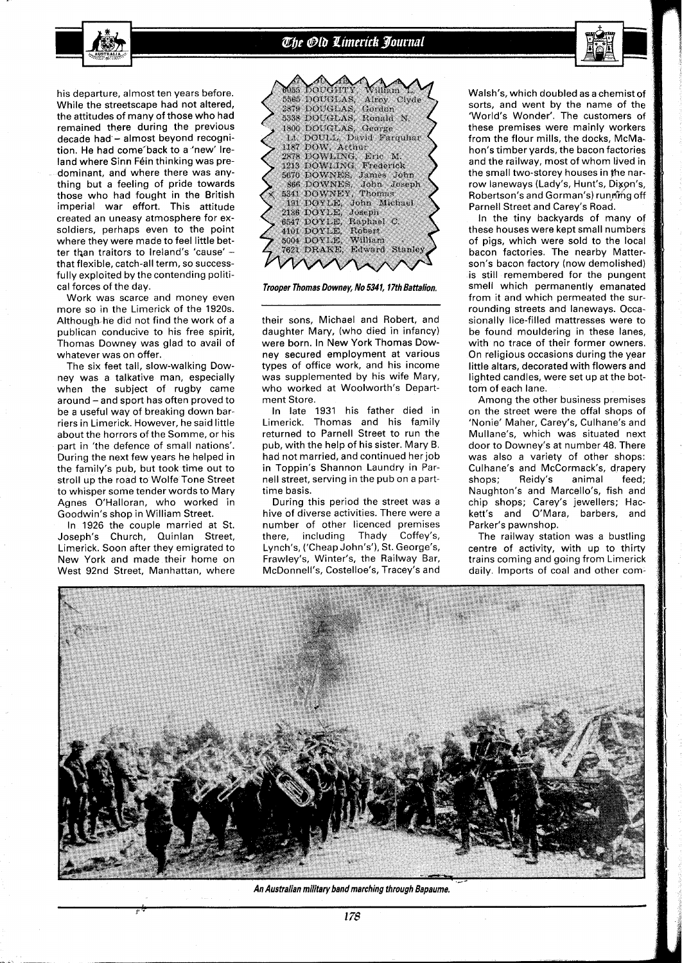

## The Old Limerick Journal



his departure, almost ten years before. While the streetscape had not altered, the attitudes of many of those who had remained there during the previous decade had - almost beyond recognition. He had come'back to a 'new' Ireland where Sinn Féin thinking was predominant, and where there was anything but a feeling of pride towards those who had fought in the British imperial war effort. This attitude created an uneasy atmosphere for exsoldiers, perhaps even to the point where they were made to feel little better than traitors to Ireland's 'cause' -<br>that flexible, catch-all term, so successfully exploited by the contending political forces of the day.

Work was scarce and money even more so in the Limerick of the 1920s. Although he did not find the work of a publican conducive to his free spirit, Thomas Downey was glad to avail of whatever was on offer.

The six feet tall, slow-walking Downey was a talkative man, especially when the subject of rugby came around - and sport has often proved to be a useful way of breaking down barriers in Limerick. However, he said little about the horrors of the Somme, or his part in 'the defence of small nations'. During the next few years he helped in the family's pub, but took time out to stroll up the road to Wolfe Tone Street to whisper some tender words to Mary Agnes O'Halloran, who worked in Goodwin's shop in William Street.

In 1926 the couple married at St. Joseph's Church, Ouinlan Street, Limerick. Soon after they emigrated to New York and made their home on West 92nd Street, Manhattan, where

**APP RODGHLA**  $\mathbf{W}$ ulam 5565 DOUGLAS. Alroy Clyde 2879 DOUGLAS, Gordon 5338 DOUGLAS, Ronald N. 1800 DOUGLAS, George Lt. DOULL, David Farquhar LIST DOWL, David Farquinat<br>187 DOW, Arthur<br>273 DOWLING, Eric M.<br>1213 DOWLING, Frederick<br>5670 DOWNES, James John<br>866 DOWNES, John Joseph 5341 DOWNEY, Thomas 191 DOYLE, John Michael 2136 DOYLE, Joseph 6547 DOYLE, Raphael C 4101 DOYLE, Robert 5004 DOYLE William 7621 DRAKE, Edward Stanley

**Trooper Thomas Downey, No 5341, 17th Battalion.** 

their sons, Michael and Robert, and daughter Mary, (who died in infancy) were born. In New York Thomas Downey secured employment at various types of office work, and his income was supplemented by his wife Mary, who worked at Woolworth's Department Store.

In late 1931 his father died in Limerick. Thomas and his family returned to Parnell Street to run the pub, with the help of his sister. Mary B. had not married, and continued her job in Toppin's Shannon Laundry in Parnell street, serving in the pub on a parttime basis.

During this period the street was a hive of diverse activities. There were a number of other licenced premises there, including Thady Coffey's, Lynch's, ('Cheap John's'), St. George's, Frawley's, Winter's, the Railway Bar, McDonnell's, Costelloe's, Tracey's and Walsh's, which doubled as a chemist of sorts, and went by the name of the 'World's Wonder'. The customers of these premises were mainly workers from the flour mills, the docks, McMahon's timber yards, the bacon factories and the railway, most of whom lived in the small two-storey houses in the narrow laneways (Lady's, Hunt's, Diypn's, Robertson's and Gorman's) running off Parnell Street and Carey's Road.

In the tiny backyards of many of these houses were kept small numbers of pigs, which were sold to the local bacon factories. The nearby Matterson's bacon factory (now demolished) is still remembered for the pungent smell which permanently emanated from it and which permeated the surrounding streets and laneways. Occasionally lice-filled mattresses were to be found mouldering in these lanes, with no trace of their former owners. On religious occasions during the year little altars, decorated with flowers and lighted candles, were set up at the bottom of each lane.

Among the other business premises on the street were the offal shops of 'Nonie' Maher, Carey's, Culhane's and Mullane's, which was situated next door to Downey's at number 48. There was also a variety of other shops: Culhane's and McCormack's, drapery shops; Reidy's animal feed; Naughton's and Marcello's, fish and chip shops; Carey's jewellers; Hackett's and O'Mara, barbers, and Parker's pawnshop.

The railway station was a bustling centre of activity, with up to thirty trains coming and going from Limerick daily. Imports of coal and other com-



**An Australian military band marching through Bapaume.**